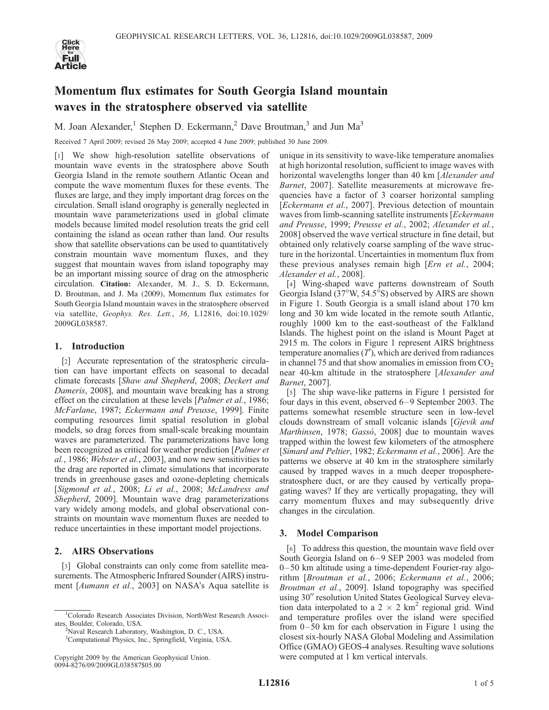

# Momentum flux estimates for South Georgia Island mountain waves in the stratosphere observed via satellite

M. Joan Alexander,<sup>1</sup> Stephen D. Eckermann,<sup>2</sup> Dave Broutman,<sup>3</sup> and Jun Ma<sup>3</sup>

Received 7 April 2009; revised 26 May 2009; accepted 4 June 2009; published 30 June 2009.

[1] We show high-resolution satellite observations of mountain wave events in the stratosphere above South Georgia Island in the remote southern Atlantic Ocean and compute the wave momentum fluxes for these events. The fluxes are large, and they imply important drag forces on the circulation. Small island orography is generally neglected in mountain wave parameterizations used in global climate models because limited model resolution treats the grid cell containing the island as ocean rather than land. Our results show that satellite observations can be used to quantitatively constrain mountain wave momentum fluxes, and they suggest that mountain waves from island topography may be an important missing source of drag on the atmospheric circulation. Citation: Alexander, M. J., S. D. Eckermann, D. Broutman, and J. Ma (2009), Momentum flux estimates for South Georgia Island mountain waves in the stratosphere observed via satellite, Geophys. Res. Lett., 36, L12816, doi:10.1029/ 2009GL038587.

## 1. Introduction

[2] Accurate representation of the stratospheric circulation can have important effects on seasonal to decadal climate forecasts [Shaw and Shepherd, 2008; Deckert and Dameris, 2008], and mountain wave breaking has a strong effect on the circulation at these levels [*Palmer et al.*, 1986; McFarlane, 1987; Eckermann and Preusse, 1999]. Finite computing resources limit spatial resolution in global models, so drag forces from small-scale breaking mountain waves are parameterized. The parameterizations have long been recognized as critical for weather prediction [*Palmer et* al., 1986; Webster et al., 2003], and now new sensitivities to the drag are reported in climate simulations that incorporate trends in greenhouse gases and ozone-depleting chemicals [Sigmond et al., 2008; Li et al., 2008; McLandress and Shepherd, 2009]. Mountain wave drag parameterizations vary widely among models, and global observational constraints on mountain wave momentum fluxes are needed to reduce uncertainties in these important model projections.

# 2. AIRS Observations

[3] Global constraints can only come from satellite measurements. The Atmospheric Infrared Sounder (AIRS) instrument [Aumann et al., 2003] on NASA's Aqua satellite is unique in its sensitivity to wave-like temperature anomalies at high horizontal resolution, sufficient to image waves with horizontal wavelengths longer than 40 km [*Alexander and* Barnet, 2007]. Satellite measurements at microwave frequencies have a factor of 3 coarser horizontal sampling [Eckermann et al., 2007]. Previous detection of mountain waves from limb-scanning satellite instruments [*Eckermann*] and Preusse, 1999; Preusse et al., 2002; Alexander et al., 2008] observed the wave vertical structure in fine detail, but obtained only relatively coarse sampling of the wave structure in the horizontal. Uncertainties in momentum flux from these previous analyses remain high [Ern et al., 2004; Alexander et al., 2008].

[4] Wing-shaped wave patterns downstream of South Georgia Island  $(37°W, 54.5°S)$  observed by AIRS are shown in Figure 1. South Georgia is a small island about 170 km long and 30 km wide located in the remote south Atlantic, roughly 1000 km to the east-southeast of the Falkland Islands. The highest point on the island is Mount Paget at 2915 m. The colors in Figure 1 represent AIRS brightness temperature anomalies  $(T)$ , which are derived from radiances in channel 75 and that show anomalies in emission from  $CO<sub>2</sub>$ near 40-km altitude in the stratosphere [Alexander and Barnet, 2007].

[5] The ship wave-like patterns in Figure 1 persisted for four days in this event, observed 6–9 September 2003. The patterns somewhat resemble structure seen in low-level clouds downstream of small volcanic islands [Gjevik and Marthinsen, 1978; Gassó, 2008] due to mountain waves trapped within the lowest few kilometers of the atmosphere [Simard and Peltier, 1982; Eckermann et al., 2006]. Are the patterns we observe at 40 km in the stratosphere similarly caused by trapped waves in a much deeper tropospherestratosphere duct, or are they caused by vertically propagating waves? If they are vertically propagating, they will carry momentum fluxes and may subsequently drive changes in the circulation.

# 3. Model Comparison

[6] To address this question, the mountain wave field over South Georgia Island on  $6-9$  SEP 2003 was modeled from 0– 50 km altitude using a time-dependent Fourier-ray algorithm [Broutman et al., 2006; Eckermann et al., 2006; Broutman et al., 2009]. Island topography was specified using 30" resolution United States Geological Survey elevation data interpolated to a 2  $\times$  2 km<sup>2</sup> regional grid. Wind and temperature profiles over the island were specified from  $0 - 50$  km for each observation in Figure 1 using the closest six-hourly NASA Global Modeling and Assimilation Office (GMAO) GEOS-4 analyses. Resulting wave solutions were computed at 1 km vertical intervals.

<sup>1</sup> Colorado Research Associates Division, NorthWest Research Associates, Boulder, Colorado, USA. <sup>2</sup> Naval Research Laboratory, Washington, D. C., USA.

<sup>3</sup> Computational Physics, Inc., Springfield, Virginia, USA.

Copyright 2009 by the American Geophysical Union. 0094-8276/09/2009GL038587\$05.00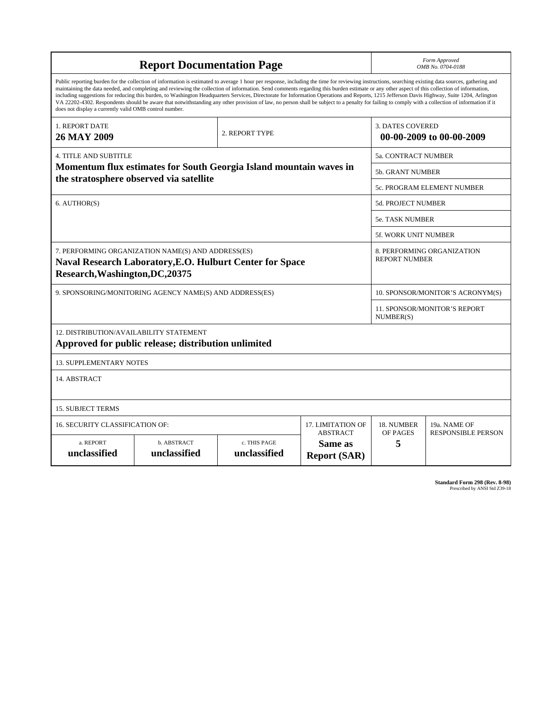| <b>Report Documentation Page</b>                                                                                                                                                                                                                                                                                                                                                                                                                                                                                                                                                                                                                                                                                                                                                                                                                                   |                             |                              |                                                   |                                                     | Form Approved<br>OMB No. 0704-0188                 |  |
|--------------------------------------------------------------------------------------------------------------------------------------------------------------------------------------------------------------------------------------------------------------------------------------------------------------------------------------------------------------------------------------------------------------------------------------------------------------------------------------------------------------------------------------------------------------------------------------------------------------------------------------------------------------------------------------------------------------------------------------------------------------------------------------------------------------------------------------------------------------------|-----------------------------|------------------------------|---------------------------------------------------|-----------------------------------------------------|----------------------------------------------------|--|
| Public reporting burden for the collection of information is estimated to average 1 hour per response, including the time for reviewing instructions, searching existing data sources, gathering and<br>maintaining the data needed, and completing and reviewing the collection of information. Send comments regarding this burden estimate or any other aspect of this collection of information,<br>including suggestions for reducing this burden, to Washington Headquarters Services, Directorate for Information Operations and Reports, 1215 Jefferson Davis Highway, Suite 1204, Arlington<br>VA 22202-4302. Respondents should be aware that notwithstanding any other provision of law, no person shall be subject to a penalty for failing to comply with a collection of information if it<br>does not display a currently valid OMB control number. |                             |                              |                                                   |                                                     |                                                    |  |
| 1. REPORT DATE<br><b>26 MAY 2009</b>                                                                                                                                                                                                                                                                                                                                                                                                                                                                                                                                                                                                                                                                                                                                                                                                                               | 2. REPORT TYPE              |                              |                                                   | <b>3. DATES COVERED</b><br>00-00-2009 to 00-00-2009 |                                                    |  |
| <b>4. TITLE AND SUBTITLE</b>                                                                                                                                                                                                                                                                                                                                                                                                                                                                                                                                                                                                                                                                                                                                                                                                                                       |                             |                              |                                                   | 5a. CONTRACT NUMBER                                 |                                                    |  |
| Momentum flux estimates for South Georgia Island mountain waves in                                                                                                                                                                                                                                                                                                                                                                                                                                                                                                                                                                                                                                                                                                                                                                                                 |                             |                              |                                                   |                                                     | <b>5b. GRANT NUMBER</b>                            |  |
| the stratosphere observed via satellite                                                                                                                                                                                                                                                                                                                                                                                                                                                                                                                                                                                                                                                                                                                                                                                                                            |                             |                              |                                                   | 5c. PROGRAM ELEMENT NUMBER                          |                                                    |  |
| 6. AUTHOR(S)                                                                                                                                                                                                                                                                                                                                                                                                                                                                                                                                                                                                                                                                                                                                                                                                                                                       |                             |                              |                                                   | 5d. PROJECT NUMBER                                  |                                                    |  |
|                                                                                                                                                                                                                                                                                                                                                                                                                                                                                                                                                                                                                                                                                                                                                                                                                                                                    |                             |                              |                                                   | <b>5e. TASK NUMBER</b>                              |                                                    |  |
|                                                                                                                                                                                                                                                                                                                                                                                                                                                                                                                                                                                                                                                                                                                                                                                                                                                                    |                             |                              |                                                   |                                                     | <b>5f. WORK UNIT NUMBER</b>                        |  |
| 7. PERFORMING ORGANIZATION NAME(S) AND ADDRESS(ES)<br><b>Naval Research Laboratory, E.O. Hulburt Center for Space</b><br>Research, Washington, DC, 20375                                                                                                                                                                                                                                                                                                                                                                                                                                                                                                                                                                                                                                                                                                           |                             |                              |                                                   |                                                     | 8. PERFORMING ORGANIZATION<br><b>REPORT NUMBER</b> |  |
| 9. SPONSORING/MONITORING AGENCY NAME(S) AND ADDRESS(ES)                                                                                                                                                                                                                                                                                                                                                                                                                                                                                                                                                                                                                                                                                                                                                                                                            |                             |                              |                                                   |                                                     | 10. SPONSOR/MONITOR'S ACRONYM(S)                   |  |
|                                                                                                                                                                                                                                                                                                                                                                                                                                                                                                                                                                                                                                                                                                                                                                                                                                                                    |                             |                              |                                                   |                                                     | <b>11. SPONSOR/MONITOR'S REPORT</b><br>NUMBER(S)   |  |
| 12. DISTRIBUTION/AVAILABILITY STATEMENT<br>Approved for public release; distribution unlimited                                                                                                                                                                                                                                                                                                                                                                                                                                                                                                                                                                                                                                                                                                                                                                     |                             |                              |                                                   |                                                     |                                                    |  |
| <b>13. SUPPLEMENTARY NOTES</b>                                                                                                                                                                                                                                                                                                                                                                                                                                                                                                                                                                                                                                                                                                                                                                                                                                     |                             |                              |                                                   |                                                     |                                                    |  |
| 14. ABSTRACT                                                                                                                                                                                                                                                                                                                                                                                                                                                                                                                                                                                                                                                                                                                                                                                                                                                       |                             |                              |                                                   |                                                     |                                                    |  |
| <b>15. SUBJECT TERMS</b>                                                                                                                                                                                                                                                                                                                                                                                                                                                                                                                                                                                                                                                                                                                                                                                                                                           |                             |                              |                                                   |                                                     |                                                    |  |
| 16. SECURITY CLASSIFICATION OF:                                                                                                                                                                                                                                                                                                                                                                                                                                                                                                                                                                                                                                                                                                                                                                                                                                    | 17. LIMITATION OF           | 18. NUMBER                   | 19a. NAME OF                                      |                                                     |                                                    |  |
| a. REPORT<br>unclassified                                                                                                                                                                                                                                                                                                                                                                                                                                                                                                                                                                                                                                                                                                                                                                                                                                          | b. ABSTRACT<br>unclassified | c. THIS PAGE<br>unclassified | <b>ABSTRACT</b><br>Same as<br><b>Report (SAR)</b> | OF PAGES<br>5                                       | <b>RESPONSIBLE PERSON</b>                          |  |

**Standard Form 298 (Rev. 8-98)**<br>Prescribed by ANSI Std Z39-18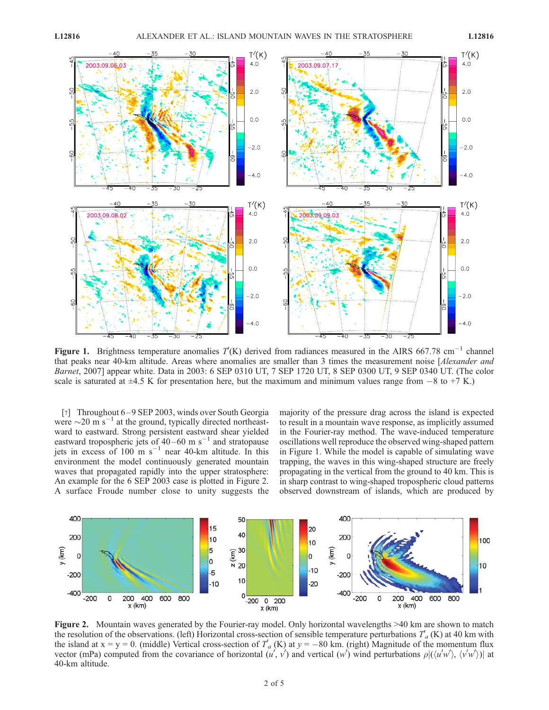

Figure 1. Brightness temperature anomalies  $T(K)$  derived from radiances measured in the AIRS 667.78 cm<sup>-1</sup> channel that peaks near 40-km altitude. Areas where anomalies are smaller than 3 times the measurement noise [Alexander and Barnet, 2007] appear white. Data in 2003: 6 SEP 0310 UT, 7 SEP 1720 UT, 8 SEP 0300 UT, 9 SEP 0340 UT. (The color scale is saturated at  $\pm 4.5$  K for presentation here, but the maximum and minimum values range from  $-8$  to  $+7$  K.)

[7] Throughout 6–9 SEP 2003, winds over South Georgia were  $\sim$  20 m s<sup>-1</sup> at the ground, typically directed northeastward to eastward. Strong persistent eastward shear yielded eastward tropospheric jets of  $40 - 60$  m s<sup>-1</sup> and stratopause jets in excess of 100 m s<sup>-1</sup> near 40-km altitude. In this environment the model continuously generated mountain waves that propagated rapidly into the upper stratosphere: An example for the 6 SEP 2003 case is plotted in Figure 2. A surface Froude number close to unity suggests the majority of the pressure drag across the island is expected to result in a mountain wave response, as implicitly assumed in the Fourier-ray method. The wave-induced temperature oscillations well reproduce the observed wing-shaped pattern in Figure 1. While the model is capable of simulating wave trapping, the waves in this wing-shaped structure are freely propagating in the vertical from the ground to 40 km. This is in sharp contrast to wing-shaped tropospheric cloud patterns observed downstream of islands, which are produced by



Figure 2. Mountain waves generated by the Fourier-ray model. Only horizontal wavelengths >40 km are shown to match the resolution of the observations. (left) Horizontal cross-section of sensible temperature perturbations  $T_a$  (K) at 40 km with the island at  $x = y = 0$ . (middle) Vertical cross-section of  $T_a$  (K) at  $y = -80$  km. (right) Magnitude of the momentum flux vector (mPa) computed from the covariance of horizontal  $(u', v')$  and vertical  $(w')$  wind perturbations  $\rho$ [ $\langle (u'w', \langle v'w' \rangle) |$  at 40-km altitude.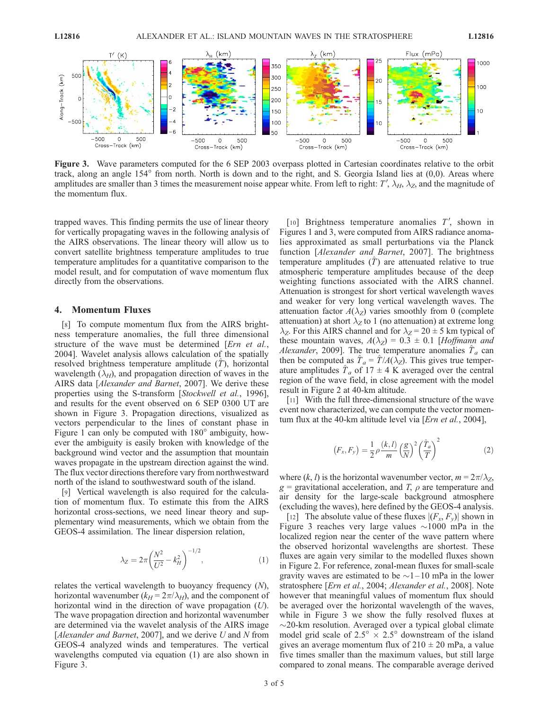

Figure 3. Wave parameters computed for the 6 SEP 2003 overpass plotted in Cartesian coordinates relative to the orbit track, along an angle  $154^\circ$  from north. North is down and to the right, and S. Georgia Island lies at  $(0,0)$ . Areas where amplitudes are smaller than 3 times the measurement noise appear white. From left to right:  $T'$ ,  $\lambda_H$ ,  $\lambda_Z$ , and the magnitude of the momentum flux.

trapped waves. This finding permits the use of linear theory for vertically propagating waves in the following analysis of the AIRS observations. The linear theory will allow us to convert satellite brightness temperature amplitudes to true temperature amplitudes for a quantitative comparison to the model result, and for computation of wave momentum flux directly from the observations.

#### 4. Momentum Fluxes

[8] To compute momentum flux from the AIRS brightness temperature anomalies, the full three dimensional structure of the wave must be determined [Ern et al., 2004]. Wavelet analysis allows calculation of the spatially resolved brightness temperature amplitude  $(T)$ , horizontal wavelength  $(\lambda_H)$ , and propagation direction of waves in the AIRS data [Alexander and Barnet, 2007]. We derive these properties using the S-transform [Stockwell et al., 1996], and results for the event observed on 6 SEP 0300 UT are shown in Figure 3. Propagation directions, visualized as vectors perpendicular to the lines of constant phase in Figure 1 can only be computed with  $180^\circ$  ambiguity, however the ambiguity is easily broken with knowledge of the background wind vector and the assumption that mountain waves propagate in the upstream direction against the wind. The flux vector directions therefore vary from northwestward north of the island to southwestward south of the island.

[9] Vertical wavelength is also required for the calculation of momentum flux. To estimate this from the AIRS horizontal cross-sections, we need linear theory and supplementary wind measurements, which we obtain from the GEOS-4 assimilation. The linear dispersion relation,

$$
\lambda_Z = 2\pi \left(\frac{N^2}{U^2} - k_H^2\right)^{-1/2},\tag{1}
$$

relates the vertical wavelength to buoyancy frequency  $(N)$ , horizontal wavenumber  $(k_H = 2\pi/\lambda_H)$ , and the component of horizontal wind in the direction of wave propagation  $(U)$ . The wave propagation direction and horizontal wavenumber are determined via the wavelet analysis of the AIRS image [Alexander and Barnet, 2007], and we derive U and N from GEOS-4 analyzed winds and temperatures. The vertical wavelengths computed via equation (1) are also shown in Figure 3.

[10] Brightness temperature anomalies  $T'$ , shown in Figures 1 and 3, were computed from AIRS radiance anomalies approximated as small perturbations via the Planck function [Alexander and Barnet, 2007]. The brightness temperature amplitudes  $(T)$  are attenuated relative to true atmospheric temperature amplitudes because of the deep weighting functions associated with the AIRS channel. Attenuation is strongest for short vertical wavelength waves and weaker for very long vertical wavelength waves. The attenuation factor  $A(\lambda_z)$  varies smoothly from 0 (complete attenuation) at short  $\lambda_Z$  to 1 (no attenuation) at extreme long  $\lambda_z$ . For this AIRS channel and for  $\lambda_z = 20 \pm 5$  km typical of these mountain waves,  $A(\lambda_Z) = 0.3 \pm 0.1$  [Hoffmann and *Alexander*, 2009]. The true temperature anomalies  $\hat{T}_a$  can then be computed as  $\hat{T}_a = \hat{T}/A(\lambda_z)$ . This gives true temperature amplitudes  $T_a$  of 17  $\pm$  4 K averaged over the central region of the wave field, in close agreement with the model result in Figure 2 at 40-km altitude.

[11] With the full three-dimensional structure of the wave event now characterized, we can compute the vector momentum flux at the 40-km altitude level via [Ern et al., 2004],

$$
(F_x, F_y) = \frac{1}{2} \rho \frac{(k, l)}{m} \left(\frac{g}{N}\right)^2 \left(\frac{\hat{T}_a}{T}\right)^2 \tag{2}
$$

where  $(k, l)$  is the horizontal wavenumber vector,  $m = 2\pi/\lambda_Z$ ,  $g =$  gravitational acceleration, and T,  $\rho$  are temperature and air density for the large-scale background atmosphere (excluding the waves), here defined by the GEOS-4 analysis.

[12] The absolute value of these fluxes  $|(F_x, F_y)|$  shown in Figure 3 reaches very large values  $\sim$ 1000 mPa in the localized region near the center of the wave pattern where the observed horizontal wavelengths are shortest. These fluxes are again very similar to the modelled fluxes shown in Figure 2. For reference, zonal-mean fluxes for small-scale gravity waves are estimated to be  $\sim$  1 – 10 mPa in the lower stratosphere [Ern et al., 2004; Alexander et al., 2008]. Note however that meaningful values of momentum flux should be averaged over the horizontal wavelength of the waves, while in Figure 3 we show the fully resolved fluxes at  $\sim$ 20-km resolution. Averaged over a typical global climate model grid scale of  $2.5^{\circ} \times 2.5^{\circ}$  downstream of the island gives an average momentum flux of  $210 \pm 20$  mPa, a value five times smaller than the maximum values, but still large compared to zonal means. The comparable average derived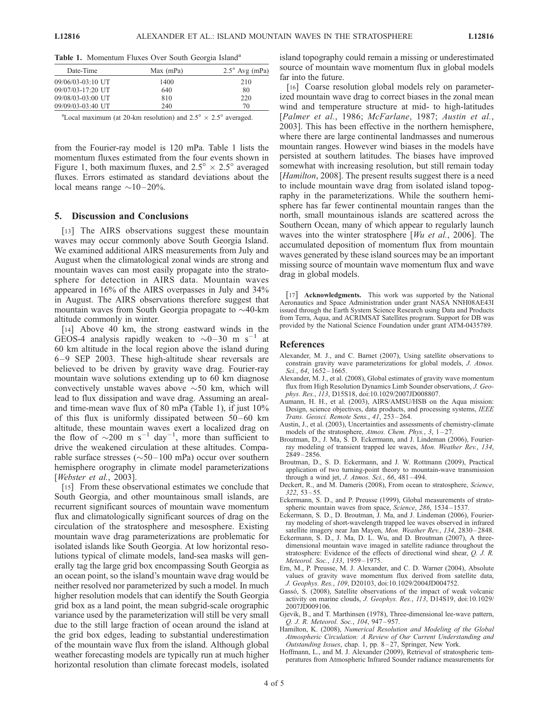Table 1. Momentum Fluxes Over South Georgia Island<sup>a</sup>

| Max (mPa) | $2.5^{\circ}$ Avg (mPa) |
|-----------|-------------------------|
| 1400      | 210                     |
| 640       | 80                      |
| 810       | 220                     |
| 240       | 70                      |
|           |                         |

<sup>a</sup>Local maximum (at 20-km resolution) and  $2.5^{\circ} \times 2.5^{\circ}$  averaged.

from the Fourier-ray model is 120 mPa. Table 1 lists the momentum fluxes estimated from the four events shown in Figure 1, both maximum fluxes, and  $2.5^{\circ} \times 2.5^{\circ}$  averaged fluxes. Errors estimated as standard deviations about the local means range  $\sim$ 10-20%.

### 5. Discussion and Conclusions

[13] The AIRS observations suggest these mountain waves may occur commonly above South Georgia Island. We examined additional AIRS measurements from July and August when the climatological zonal winds are strong and mountain waves can most easily propagate into the stratosphere for detection in AIRS data. Mountain waves appeared in 16% of the AIRS overpasses in July and 34% in August. The AIRS observations therefore suggest that mountain waves from South Georgia propagate to  $\sim$ 40-km altitude commonly in winter.

[14] Above 40 km, the strong eastward winds in the GEOS-4 analysis rapidly weaken to  $\sim 0-30$  m s<sup>-1</sup> at 60 km altitude in the local region above the island during 6 – 9 SEP 2003. These high-altitude shear reversals are believed to be driven by gravity wave drag. Fourier-ray mountain wave solutions extending up to 60 km diagnose convectively unstable waves above  $\sim$  50 km, which will lead to flux dissipation and wave drag. Assuming an arealand time-mean wave flux of 80 mPa (Table 1), if just 10% of this flux is uniformly dissipated between  $50 - 60$  km altitude, these mountain waves exert a localized drag on the flow of  $\sim$ 200 m s<sup>-1</sup> day<sup>-1</sup>, more than sufficient to drive the weakened circulation at these altitudes. Comparable surface stresses ( $\sim$ 50 – 100 mPa) occur over southern hemisphere orography in climate model parameterizations [Webster et al., 2003].

[15] From these observational estimates we conclude that South Georgia, and other mountainous small islands, are recurrent significant sources of mountain wave momentum flux and climatologically significant sources of drag on the circulation of the stratosphere and mesosphere. Existing mountain wave drag parameterizations are problematic for isolated islands like South Georgia. At low horizontal resolutions typical of climate models, land-sea masks will generally tag the large grid box encompassing South Georgia as an ocean point, so the island's mountain wave drag would be neither resolved nor parameterized by such a model. In much higher resolution models that can identify the South Georgia grid box as a land point, the mean subgrid-scale orographic variance used by the parameterization will still be very small due to the still large fraction of ocean around the island at the grid box edges, leading to substantial underestimation of the mountain wave flux from the island. Although global weather forecasting models are typically run at much higher horizontal resolution than climate forecast models, isolated

island topography could remain a missing or underestimated source of mountain wave momentum flux in global models far into the future.

[16] Coarse resolution global models rely on parameterized mountain wave drag to correct biases in the zonal mean wind and temperature structure at mid- to high-latitudes [Palmer et al., 1986; McFarlane, 1987; Austin et al., 2003]. This has been effective in the northern hemisphere, where there are large continental landmasses and numerous mountain ranges. However wind biases in the models have persisted at southern latitudes. The biases have improved somewhat with increasing resolution, but still remain today [Hamilton, 2008]. The present results suggest there is a need to include mountain wave drag from isolated island topography in the parameterizations. While the southern hemisphere has far fewer continental mountain ranges than the north, small mountainous islands are scattered across the Southern Ocean, many of which appear to regularly launch waves into the winter stratosphere [Wu et al., 2006]. The accumulated deposition of momentum flux from mountain waves generated by these island sources may be an important missing source of mountain wave momentum flux and wave drag in global models.

[17] **Acknowledgments.** This work was supported by the National Aeronautics and Space Administration under grant NASA NNH08AE43I issued through the Earth System Science Research using Data and Products from Terra, Aqua, and ACRIMSAT Satellites program. Support for DB was provided by the National Science Foundation under grant ATM-0435789.

#### References

- Alexander, M. J., and C. Barnet (2007), Using satellite observations to constrain gravity wave parameterizations for global models, J. Atmos. Sci., 64, 1652-1665.
- Alexander, M. J., et al. (2008), Global estimates of gravity wave momentum flux from High Resolution Dynamics Limb Sounder observations, J. Geophys. Res., 113, D15S18, doi:10.1029/2007JD008807.
- Aumann, H. H., et al. (2003), AIRS/AMSU/HSB on the Aqua mission: Design, science objectives, data products, and processing systems, IEEE Trans. Geosci. Remote Sens., 41, 253 – 264.
- Austin, J., et al. (2003), Uncertainties and assessments of chemistry-climate models of the stratosphere, Atmos. Chem. Phys., 3, 1-27.
- Broutman, D., J. Ma, S. D. Eckermann, and J. Lindeman (2006), Fourierray modeling of transient trapped lee waves, Mon. Weather Rev., 134, 2849 – 2856.
- Broutman, D., S. D. Eckermann, and J. W. Rottmann (2009), Practical application of two turning-point theory to mountain-wave transmission through a wind jet,  $J.$  Atmos. Sci., 66, 481-494.
- Deckert, R., and M. Dameris (2008), From ocean to stratosphere, Science, 322, 53 – 55.
- Eckermann, S. D., and P. Preusse (1999), Global measurements of stratospheric mountain waves from space, Science, 286, 1534-1537.
- Eckermann, S. D., D. Broutman, J. Ma, and J. Lindeman (2006), Fourierray modeling of short-wavelength trapped lee waves observed in infrared satellite imagery near Jan Mayen, Mon. Weather Rev., 134, 2830-2848.
- Eckermann, S. D., J. Ma, D. L. Wu, and D. Broutman (2007), A threedimensional mountain wave imaged in satellite radiance throughout the stratosphere: Evidence of the effects of directional wind shear, Q. J. R. Meteorol. Soc., 133, 1959-1975.
- Ern, M., P. Preusse, M. J. Alexander, and C. D. Warner (2004), Absolute values of gravity wave momentum flux derived from satellite data, J. Geophys. Res., 109, D20103, doi:10.1029/2004JD004752.
- Gassó, S. (2008), Satellite observations of the impact of weak volcanic activity on marine clouds, J. Geophys. Res., 113, D14S19, doi:10.1029/ 2007JD009106.
- Gjevik, B., and T. Marthinsen (1978), Three-dimensional lee-wave pattern, Q. J. R. Meteorol. Soc., 104, 947 – 957.
- Hamilton, K. (2008), Numerical Resolution and Modeling of the Global Atmospheric Circulation: A Review of Our Current Understanding and Outstanding Issues, chap. 1, pp. 8-27, Springer, New York.
- Hoffmann, L., and M. J. Alexander (2009), Retrieval of stratospheric temperatures from Atmospheric Infrared Sounder radiance measurements for